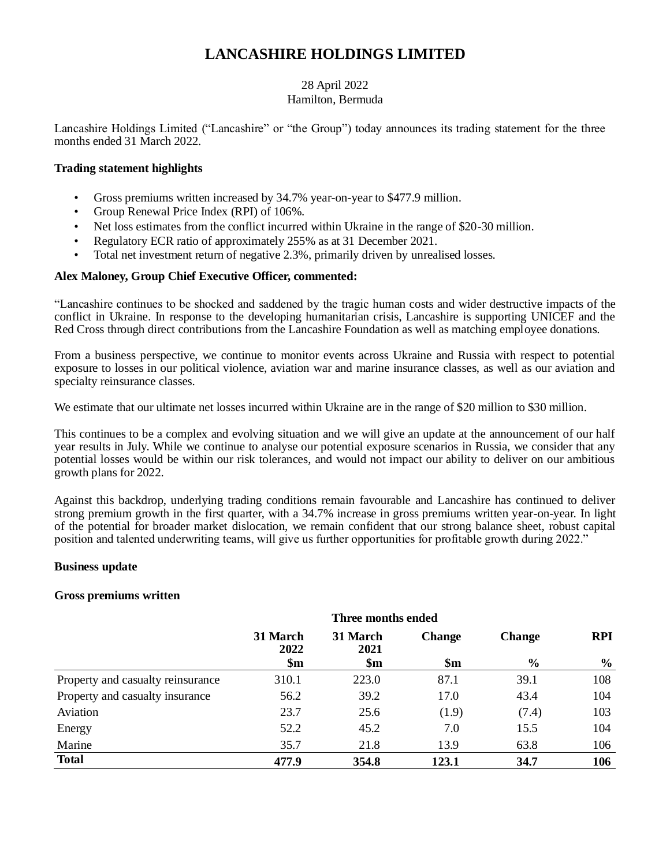# **LANCASHIRE HOLDINGS LIMITED**

# 28 April 2022 Hamilton, Bermuda

Lancashire Holdings Limited ("Lancashire" or "the Group") today announces its trading statement for the three months ended 31 March 2022.

# **Trading statement highlights**

- Gross premiums written increased by 34.7% year-on-year to \$477.9 million.
- Group Renewal Price Index (RPI) of 106%.
- Net loss estimates from the conflict incurred within Ukraine in the range of \$20-30 million.
- Regulatory ECR ratio of approximately 255% as at 31 December 2021.
- Total net investment return of negative 2.3%, primarily driven by unrealised losses.

# **Alex Maloney, Group Chief Executive Officer, commented:**

"Lancashire continues to be shocked and saddened by the tragic human costs and wider destructive impacts of the conflict in Ukraine. In response to the developing humanitarian crisis, Lancashire is supporting UNICEF and the Red Cross through direct contributions from the Lancashire Foundation as well as matching employee donations.

From a business perspective, we continue to monitor events across Ukraine and Russia with respect to potential exposure to losses in our political violence, aviation war and marine insurance classes, as well as our aviation and specialty reinsurance classes.

We estimate that our ultimate net losses incurred within Ukraine are in the range of \$20 million to \$30 million.

This continues to be a complex and evolving situation and we will give an update at the announcement of our half year results in July. While we continue to analyse our potential exposure scenarios in Russia, we consider that any potential losses would be within our risk tolerances, and would not impact our ability to deliver on our ambitious growth plans for 2022.

Against this backdrop, underlying trading conditions remain favourable and Lancashire has continued to deliver strong premium growth in the first quarter, with a 34.7% increase in gross premiums written year-on-year. In light of the potential for broader market dislocation, we remain confident that our strong balance sheet, robust capital position and talented underwriting teams, will give us further opportunities for profitable growth during 2022."

## **Business update**

# **Gross premiums written**

|                                   | Three months ended |                  |                |               |               |
|-----------------------------------|--------------------|------------------|----------------|---------------|---------------|
|                                   | 31 March<br>2022   | 31 March<br>2021 | <b>Change</b>  | <b>Change</b> | <b>RPI</b>    |
|                                   | $\mathbf{\$m}$     | $\mathbf{\$m}$   | $\mathbf{\$m}$ | $\frac{6}{6}$ | $\frac{6}{9}$ |
| Property and casualty reinsurance | 310.1              | 223.0            | 87.1           | 39.1          | 108           |
| Property and casualty insurance   | 56.2               | 39.2             | 17.0           | 43.4          | 104           |
| Aviation                          | 23.7               | 25.6             | (1.9)          | (7.4)         | 103           |
| Energy                            | 52.2               | 45.2             | 7.0            | 15.5          | 104           |
| Marine                            | 35.7               | 21.8             | 13.9           | 63.8          | 106           |
| <b>Total</b>                      | 477.9              | 354.8            | 123.1          | 34.7          | 106           |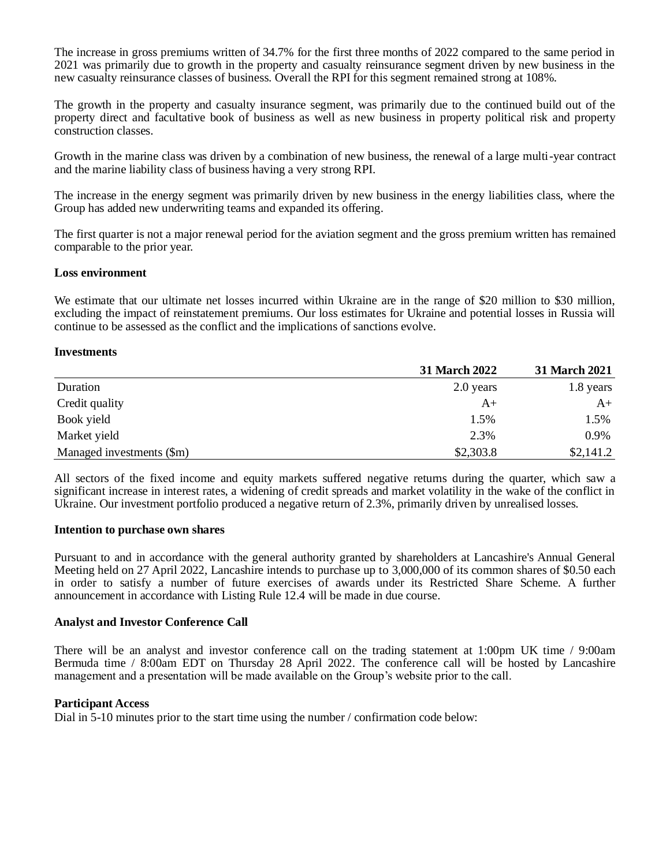The increase in gross premiums written of 34.7% for the first three months of 2022 compared to the same period in 2021 was primarily due to growth in the property and casualty reinsurance segment driven by new business in the new casualty reinsurance classes of business. Overall the RPI for this segment remained strong at 108%.

The growth in the property and casualty insurance segment, was primarily due to the continued build out of the property direct and facultative book of business as well as new business in property political risk and property construction classes.

Growth in the marine class was driven by a combination of new business, the renewal of a large multi-year contract and the marine liability class of business having a very strong RPI.

The increase in the energy segment was primarily driven by new business in the energy liabilities class, where the Group has added new underwriting teams and expanded its offering.

The first quarter is not a major renewal period for the aviation segment and the gross premium written has remained comparable to the prior year.

# **Loss environment**

We estimate that our ultimate net losses incurred within Ukraine are in the range of \$20 million to \$30 million, excluding the impact of reinstatement premiums. Our loss estimates for Ukraine and potential losses in Russia will continue to be assessed as the conflict and the implications of sanctions evolve.

# **Investments**

|                           | <b>31 March 2022</b> | <b>31 March 2021</b> |
|---------------------------|----------------------|----------------------|
| Duration                  | 2.0 years            | 1.8 years            |
| Credit quality            | A+                   | $A+$                 |
| Book yield                | 1.5%                 | 1.5%                 |
| Market yield              | 2.3%                 | 0.9%                 |
| Managed investments (\$m) | \$2,303.8            | \$2,141.2            |

All sectors of the fixed income and equity markets suffered negative returns during the quarter, which saw a significant increase in interest rates, a widening of credit spreads and market volatility in the wake of the conflict in Ukraine. Our investment portfolio produced a negative return of 2.3%, primarily driven by unrealised losses.

## **Intention to purchase own shares**

Pursuant to and in accordance with the general authority granted by shareholders at Lancashire's Annual General Meeting held on 27 April 2022, Lancashire intends to purchase up to 3,000,000 of its common shares of \$0.50 each in order to satisfy a number of future exercises of awards under its Restricted Share Scheme. A further announcement in accordance with Listing Rule 12.4 will be made in due course.

## **Analyst and Investor Conference Call**

There will be an analyst and investor conference call on the trading statement at 1:00pm UK time / 9:00am Bermuda time / 8:00am EDT on Thursday 28 April 2022. The conference call will be hosted by Lancashire management and a presentation will be made available on the Group's website prior to the call.

# **Participant Access**

Dial in 5-10 minutes prior to the start time using the number / confirmation code below: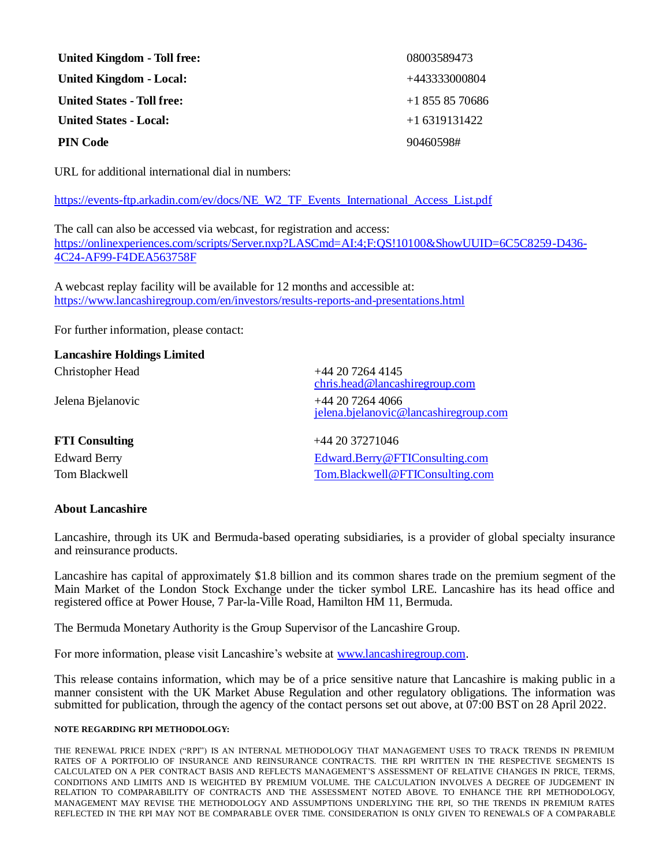| <b>United Kingdom - Toll free:</b> | 08003589473    |
|------------------------------------|----------------|
| <b>United Kingdom - Local:</b>     | +443333000804  |
| <b>United States - Toll free:</b>  | $+18558570686$ |
| <b>United States - Local:</b>      | $+16319131422$ |
| <b>PIN Code</b>                    | 90460598#      |

URL for additional international dial in numbers:

[https://events-ftp.arkadin.com/ev/docs/NE\\_W2\\_TF\\_Events\\_International\\_Access\\_List.pdf](https://events-ftp.arkadin.com/ev/docs/NE_W2_TF_Events_International_Access_List.pdf)

The call can also be accessed via webcast, for registration and access: [https://onlinexperiences.com/scripts/Server.nxp?LASCmd=AI:4;F:QS!10100&ShowUUID=6C5C8259-D436-](https://onlinexperiences.com/scripts/Server.nxp?LASCmd=AI:4;F:QS!10100&ShowUUID=6C5C8259-D436-4C24-AF99-F4DEA563758F) [4C24-AF99-F4DEA563758F](https://onlinexperiences.com/scripts/Server.nxp?LASCmd=AI:4;F:QS!10100&ShowUUID=6C5C8259-D436-4C24-AF99-F4DEA563758F)

A webcast replay facility will be available for 12 months and accessible at: <https://www.lancashiregroup.com/en/investors/results-reports-and-presentations.html>

For further information, please contact:

# **Lancashire Holdings Limited**

| $+44$ 20 7264 4145<br>chris.head@lancashiregroup.com     |
|----------------------------------------------------------|
| $+442072644066$<br>jelena.bjelanovic@lancashiregroup.com |
| $+442037271046$                                          |
| Edward.Berry@FTIConsulting.com                           |
| Tom.Blackwell@FTIConsulting.com                          |
|                                                          |

## **About Lancashire**

Lancashire, through its UK and Bermuda-based operating subsidiaries, is a provider of global specialty insurance and reinsurance products.

Lancashire has capital of approximately \$1.8 billion and its common shares trade on the premium segment of the Main Market of the London Stock Exchange under the ticker symbol LRE. Lancashire has its head office and registered office at Power House, 7 Par-la-Ville Road, Hamilton HM 11, Bermuda.

The Bermuda Monetary Authority is the Group Supervisor of the Lancashire Group.

For more information, please visit Lancashire's website at [www.lancashiregroup.com.](http://www.lancashiregroup.com/)

This release contains information, which may be of a price sensitive nature that Lancashire is making public in a manner consistent with the UK Market Abuse Regulation and other regulatory obligations. The information was submitted for publication, through the agency of the contact persons set out above, at 07:00 BST on 28 April 2022.

#### **NOTE REGARDING RPI METHODOLOGY:**

THE RENEWAL PRICE INDEX ("RPI") IS AN INTERNAL METHODOLOGY THAT MANAGEMENT USES TO TRACK TRENDS IN PREMIUM RATES OF A PORTFOLIO OF INSURANCE AND REINSURANCE CONTRACTS. THE RPI WRITTEN IN THE RESPECTIVE SEGMENTS IS CALCULATED ON A PER CONTRACT BASIS AND REFLECTS MANAGEMENT'S ASSESSMENT OF RELATIVE CHANGES IN PRICE, TERMS, CONDITIONS AND LIMITS AND IS WEIGHTED BY PREMIUM VOLUME. THE CALCULATION INVOLVES A DEGREE OF JUDGEMENT IN RELATION TO COMPARABILITY OF CONTRACTS AND THE ASSESSMENT NOTED ABOVE. TO ENHANCE THE RPI METHODOLOGY, MANAGEMENT MAY REVISE THE METHODOLOGY AND ASSUMPTIONS UNDERLYING THE RPI, SO THE TRENDS IN PREMIUM RATES REFLECTED IN THE RPI MAY NOT BE COMPARABLE OVER TIME. CONSIDERATION IS ONLY GIVEN TO RENEWALS OF A COMPARABLE